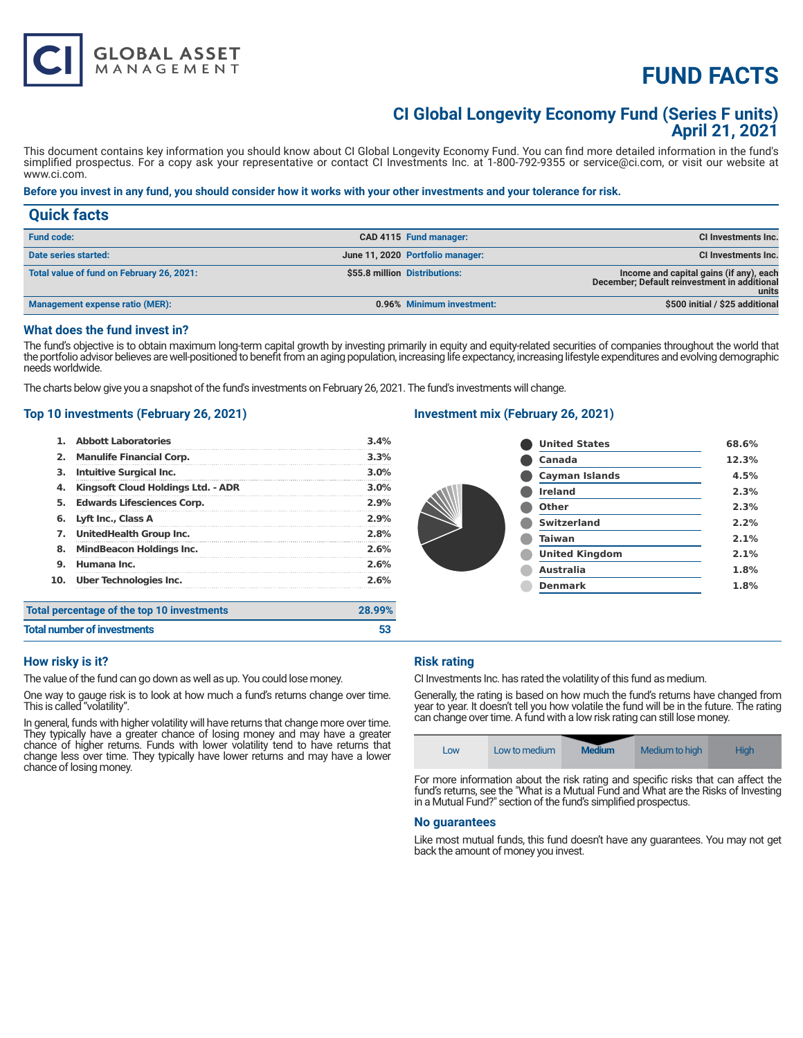# **FUND FACTS**

### **CI Global Longevity Economy Fund (Series F units) April 21, 2021**

This document contains key information you should know about CI Global Longevity Economy Fund. You can find more detailed information in the fund's simplified prospectus. For a copy ask your representative or contact CI Investments Inc. at 1-800-792-9355 or service@ci.com, or visit our website at www.ci.com.

#### **Before you invest in any fund, you should consider how it works with your other investments and your tolerance for risk.**

| <b>Quick facts</b>                        |                                  |                                                                                                  |
|-------------------------------------------|----------------------------------|--------------------------------------------------------------------------------------------------|
| <b>Fund code:</b>                         | CAD 4115 Fund manager:           | CI Investments Inc.                                                                              |
| Date series started:                      | June 11, 2020 Portfolio manager: | CI Investments Inc.                                                                              |
| Total value of fund on February 26, 2021: | \$55.8 million Distributions:    | Income and capital gains (if any), each<br>December; Default reinvestment in additional<br>units |
| Management expense ratio (MER):           | 0.96% Minimum investment:        | \$500 initial / \$25 additional                                                                  |

#### **What does the fund invest in?**

The fund's objective is to obtain maximum long-term capital growth by investing primarily in equity and equity-related securities of companies throughout the world that the portfolio advisor believes are well-positioned to benefit from an aging population, increasing life expectancy, increasing lifestyle expenditures and evolving demographic needs worldwide.

The charts below give you a snapshot of the fund's investments on February 26, 2021. The fund's investments will change.

#### **Top 10 investments (February 26, 2021)**

**GLOBAL ASSET**<br>MANAGEMENT

| <b>Total number of investments</b> |                                            | 53      |
|------------------------------------|--------------------------------------------|---------|
|                                    | Total percentage of the top 10 investments | 28.99%  |
| 10.                                | <b>Uber Technologies Inc.</b>              | 2.6%    |
| 9.                                 | Humana Inc.                                | 2.6%    |
| 8.                                 | <b>MindBeacon Holdings Inc.</b>            | 2.6%    |
| 7.                                 | UnitedHealth Group Inc.                    | 2.8%    |
| 6.                                 | Lyft Inc., Class A                         | 2.9%    |
| 5.                                 | <b>Edwards Lifesciences Corp.</b>          | 2.9%    |
| 4.                                 | Kingsoft Cloud Holdings Ltd. - ADR         | $3.0\%$ |
| з.                                 | Intuitive Surgical Inc.                    | $3.0\%$ |
| 2.                                 | <b>Manulife Financial Corp.</b>            | 3.3%    |
|                                    | <b>Abbott Laboratories</b>                 | 3.4%    |

#### **Investment mix (February 26, 2021)**

| <b>United States</b>  | 68.6% |
|-----------------------|-------|
| Canada                | 12.3% |
| <b>Cayman Islands</b> | 4.5%  |
| <b>Ireland</b>        | 2.3%  |
| Other                 | 2.3%  |
| <b>Switzerland</b>    | 2.2%  |
| <b>Taiwan</b>         | 2.1%  |
| <b>United Kingdom</b> | 2.1%  |
| Australia             | 1.8%  |
| <b>Denmark</b>        | 1.8%  |
|                       |       |

#### **How risky is it?**

The value of the fund can go down as well as up. You could lose money.

One way to gauge risk is to look at how much a fund's returns change over time. This is called "volatility".

In general, funds with higher volatility will have returns that change more over time. They typically have a greater chance of losing money and may have a greater chance of higher returns. Funds with lower volatility tend to have returns that change less over time. They typically have lower returns and may have a lower chance of losing money.

#### **Risk rating**

CI Investments Inc. has rated the volatility of this fund as medium.

Generally, the rating is based on how much the fund's returns have changed from year to year. It doesn't tell you how volatile the fund will be in the future. The rating can change over time. A fund with a low risk rating can still lose money.

| LOW | Low to medium | <b>Medium</b> | Medium to high | Hiah |
|-----|---------------|---------------|----------------|------|
|-----|---------------|---------------|----------------|------|

For more information about the risk rating and specific risks that can affect the fund's returns, see the "What is a Mutual Fund and What are the Risks of Investing in a Mutual Fund?" section of the fund's simplified prospectus.

#### **No guarantees**

Like most mutual funds, this fund doesn't have any guarantees. You may not get back the amount of money you invest.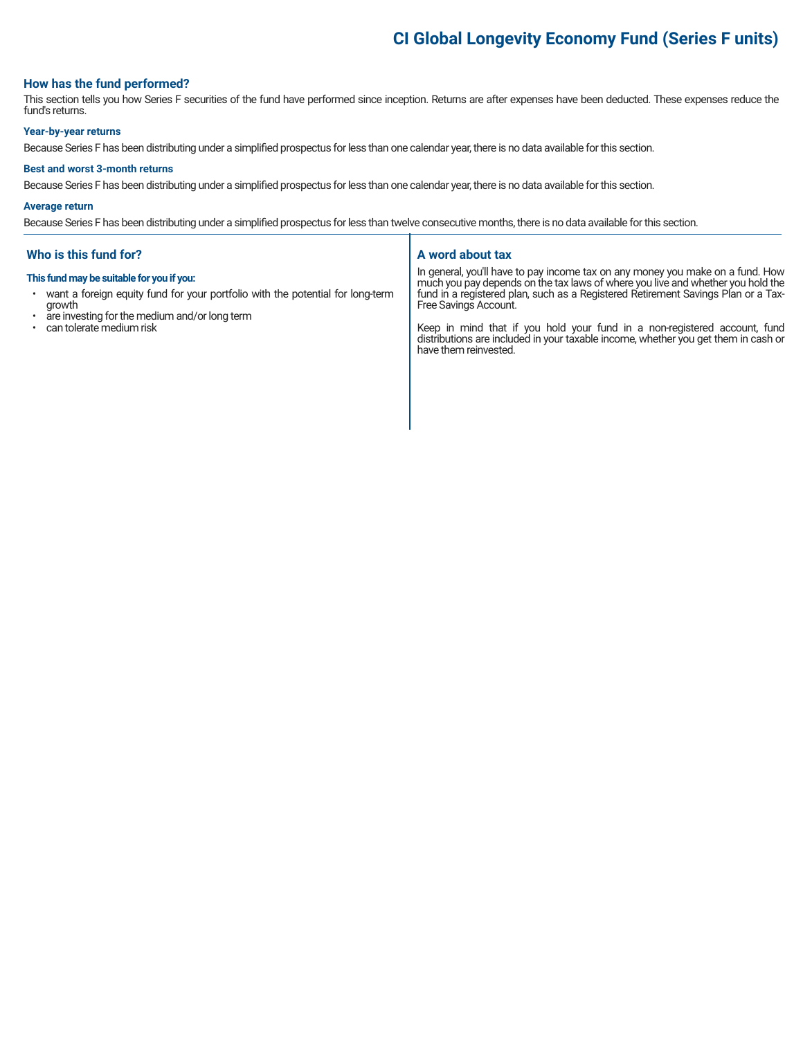## **CI Global Longevity Economy Fund (Series F units)**

#### **How has the fund performed?**

This section tells you how Series F securities of the fund have performed since inception. Returns are after expenses have been deducted. These expenses reduce the fund's returns.

#### **Year-by-year returns**

Because Series F has been distributing under a simplified prospectus for less than one calendar year, there is no data available for this section.

#### **Best and worst 3-month returns**

Because Series F has been distributing under a simplified prospectus for less than one calendar year, there is no data available for this section.

#### **Average return**

Because Series F has been distributing under a simplified prospectus for less than twelve consecutive months, there is no data available for this section.

#### **Who is this fund for?**

#### **This fund may be suitable for you if you:**

- want a foreign equity fund for your portfolio with the potential for long-term growth
- are investing for the medium and/or long term
- can tolerate medium risk

#### **A word about tax**

In general, you'll have to pay income tax on any money you make on a fund. How much you pay depends on the tax laws of where you live and whether you hold the fund in a registered plan, such as a Registered Retirement Savings Plan or a Tax-Free Savings Account.

Keep in mind that if you hold your fund in a non-registered account, fund distributions are included in your taxable income, whether you get them in cash or have them reinvested.